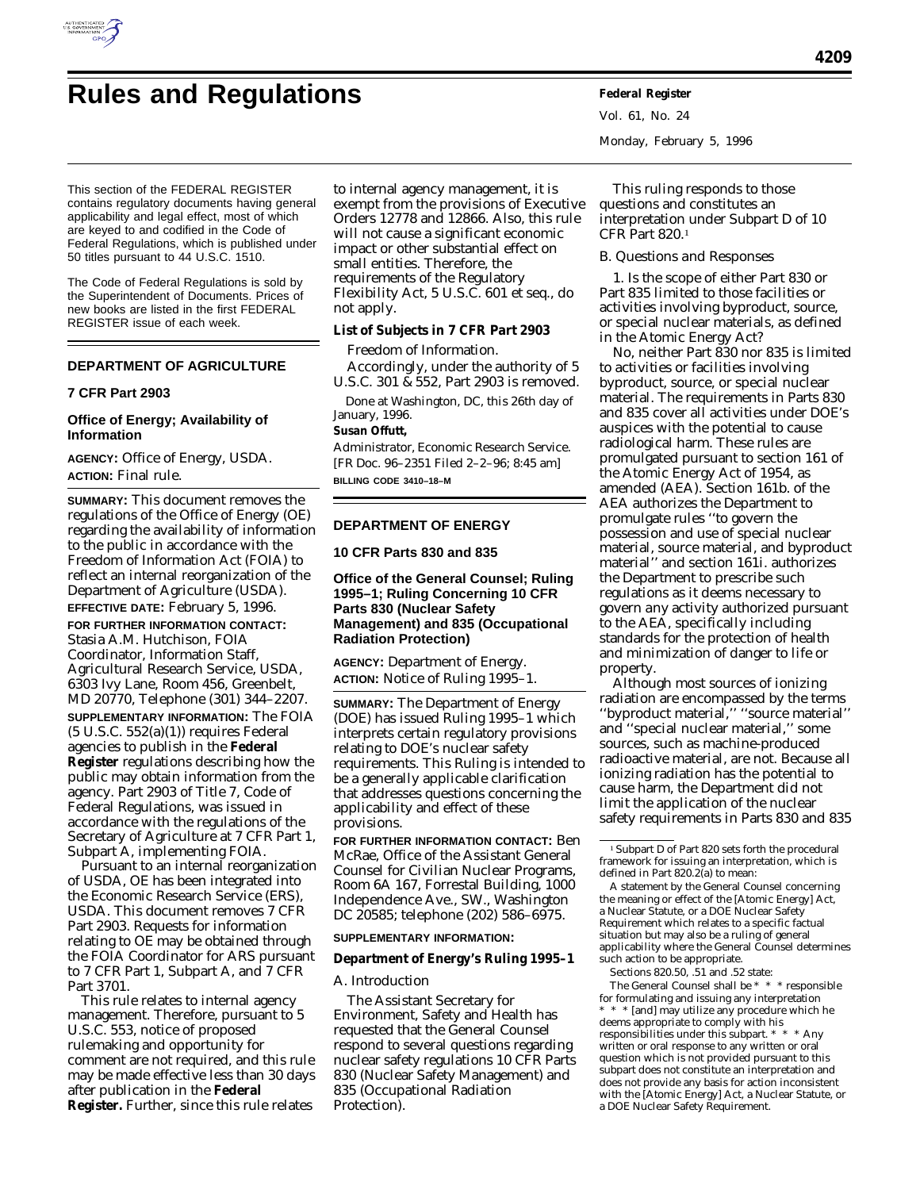

# **Rules and Regulations Federal Register**

This section of the FEDERAL REGISTER contains regulatory documents having general applicability and legal effect, most of which are keyed to and codified in the Code of Federal Regulations, which is published under 50 titles pursuant to 44 U.S.C. 1510.

The Code of Federal Regulations is sold by the Superintendent of Documents. Prices of new books are listed in the first FEDERAL REGISTER issue of each week.

# **DEPARTMENT OF AGRICULTURE**

#### **7 CFR Part 2903**

# **Office of Energy; Availability of Information**

**AGENCY:** Office of Energy, USDA. **ACTION:** Final rule.

**SUMMARY:** This document removes the regulations of the Office of Energy (OE) regarding the availability of information to the public in accordance with the Freedom of Information Act (FOIA) to reflect an internal reorganization of the Department of Agriculture (USDA). **EFFECTIVE DATE:** February 5, 1996.

**FOR FURTHER INFORMATION CONTACT:** Stasia A.M. Hutchison, FOIA Coordinator, Information Staff, Agricultural Research Service, USDA, 6303 Ivy Lane, Room 456, Greenbelt, MD 20770, Telephone (301) 344–2207. **SUPPLEMENTARY INFORMATION:** The FOIA  $(5 \text{ U.S.C. } 552(a)(1))$  requires Federal agencies to publish in the **Federal Register** regulations describing how the public may obtain information from the agency. Part 2903 of Title 7, Code of Federal Regulations, was issued in accordance with the regulations of the Secretary of Agriculture at 7 CFR Part 1, Subpart A, implementing FOIA.

Pursuant to an internal reorganization of USDA, OE has been integrated into the Economic Research Service (ERS), USDA. This document removes 7 CFR Part 2903. Requests for information relating to OE may be obtained through the FOIA Coordinator for ARS pursuant to 7 CFR Part 1, Subpart A, and 7 CFR Part 3701.

This rule relates to internal agency management. Therefore, pursuant to 5 U.S.C. 553, notice of proposed rulemaking and opportunity for comment are not required, and this rule may be made effective less than 30 days after publication in the **Federal Register.** Further, since this rule relates

to internal agency management, it is exempt from the provisions of Executive Orders 12778 and 12866. Also, this rule will not cause a significant economic impact or other substantial effect on small entities. Therefore, the requirements of the Regulatory Flexibility Act, 5 U.S.C. 601 et seq., do not apply.

**List of Subjects in 7 CFR Part 2903**

Freedom of Information.

Accordingly, under the authority of 5 U.S.C. 301 & 552, Part 2903 is removed.

Done at Washington, DC, this 26th day of January, 1996.

**Susan Offutt,**

*Administrator, Economic Research Service.* [FR Doc. 96–2351 Filed 2–2–96; 8:45 am] **BILLING CODE 3410–18–M**

# **DEPARTMENT OF ENERGY**

**10 CFR Parts 830 and 835**

## **Office of the General Counsel; Ruling 1995–1; Ruling Concerning 10 CFR Parts 830 (Nuclear Safety Management) and 835 (Occupational Radiation Protection)**

**AGENCY:** Department of Energy. **ACTION:** Notice of Ruling 1995–1.

**SUMMARY:** The Department of Energy (DOE) has issued Ruling 1995–1 which interprets certain regulatory provisions relating to DOE's nuclear safety requirements. This Ruling is intended to be a generally applicable clarification that addresses questions concerning the applicability and effect of these provisions.

**FOR FURTHER INFORMATION CONTACT:** Ben McRae, Office of the Assistant General Counsel for Civilian Nuclear Programs, Room 6A 167, Forrestal Building, 1000 Independence Ave., SW., Washington DC 20585; telephone (202) 586–6975.

#### **SUPPLEMENTARY INFORMATION:**

**Department of Energy's Ruling 1995–1**

## *A. Introduction*

The Assistant Secretary for Environment, Safety and Health has requested that the General Counsel respond to several questions regarding nuclear safety regulations 10 CFR Parts 830 (Nuclear Safety Management) and 835 (Occupational Radiation Protection).

Vol. 61, No. 24 Monday, February 5, 1996

This ruling responds to those questions and constitutes an interpretation under Subpart D of 10 CFR Part 820.1

## *B. Questions and Responses*

1. Is the scope of either Part 830 or Part 835 limited to those facilities or activities involving byproduct, source, or special nuclear materials, as defined in the Atomic Energy Act?

No, neither Part 830 nor 835 is limited to activities or facilities involving byproduct, source, or special nuclear material. The requirements in Parts 830 and 835 cover all activities under DOE's auspices with the potential to cause radiological harm. These rules are promulgated pursuant to section 161 of the Atomic Energy Act of 1954, as amended (AEA). Section 161b. of the AEA authorizes the Department to promulgate rules ''to govern the possession and use of special nuclear material, source material, and byproduct material'' and section 161i. authorizes the Department to prescribe such regulations as it deems necessary to govern *any* activity authorized pursuant to the AEA, specifically including standards for the protection of health and minimization of danger to life or property.

Although most sources of ionizing radiation are encompassed by the terms ''byproduct material,'' ''source material'' and ''special nuclear material,'' some sources, such as machine-produced radioactive material, are not. Because all ionizing radiation has the potential to cause harm, the Department did not limit the application of the nuclear safety requirements in Parts 830 and 835

A statement by the General Counsel concerning the meaning or effect of the [Atomic Energy] Act, a Nuclear Statute, or a DOE Nuclear Safety Requirement which relates to a specific factual situation but may also be a ruling of general applicability where the General Counsel determines such action to be appropriate.

Sections 820.50, .51 and .52 state:

The General Counsel shall be \* \* \* responsible for formulating and issuing any interpretation

\* \* \* [and] may utilize any procedure which he deems appropriate to comply with his

responsibilities under this subpart. \* \* \* Any written or oral response to any written or oral question which is not provided pursuant to this subpart does not constitute an interpretation and does not provide any basis for action inconsistent with the [Atomic Energy] Act, a Nuclear Statute, or a DOE Nuclear Safety Requirement.

<sup>1</sup>Subpart D of Part 820 sets forth the procedural framework for issuing an interpretation, which is defined in Part  $820.2(a)$  to mean: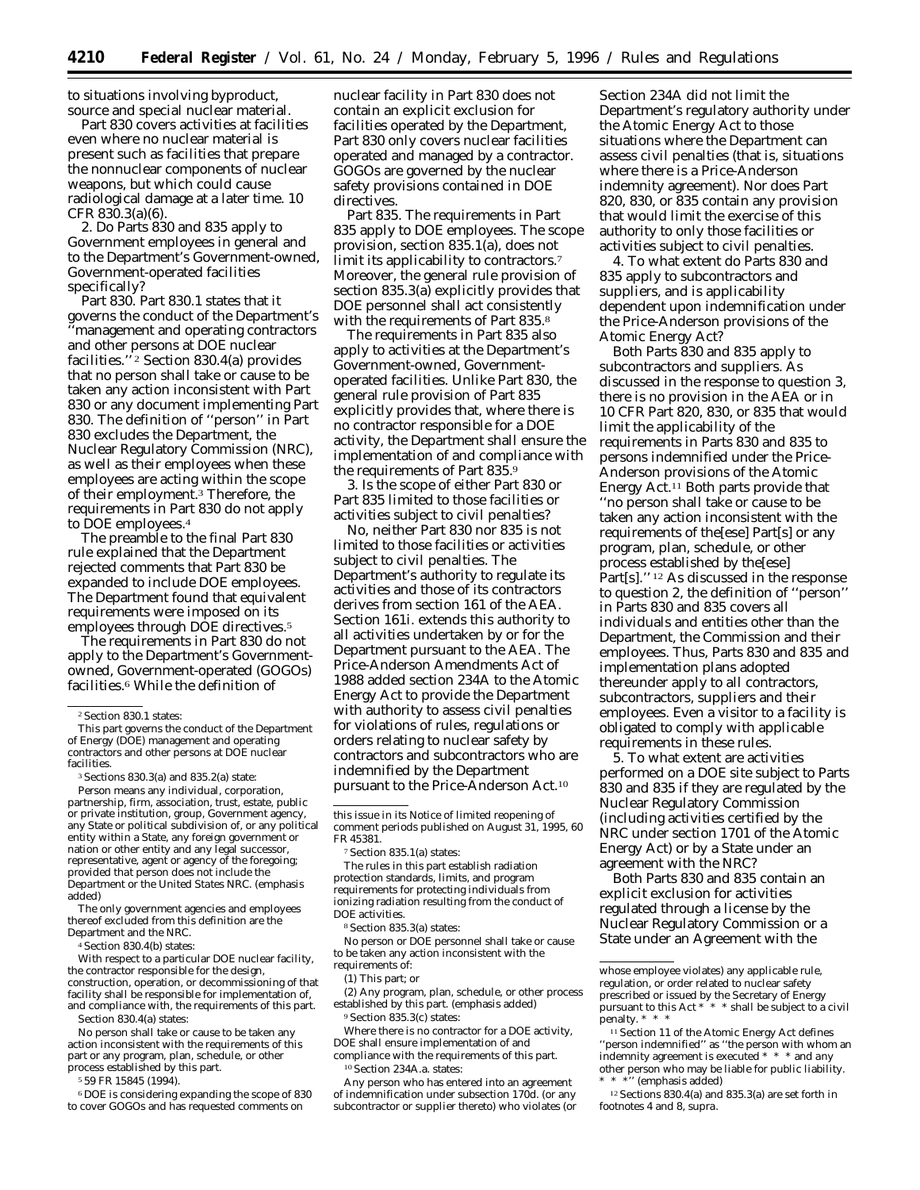to situations involving byproduct, source and special nuclear material.

Part 830 covers activities at facilities even where no nuclear material is present such as facilities that prepare the nonnuclear components of nuclear weapons, but which could cause radiological damage at a later time. 10 CFR 830.3(a)(6).

2. Do Parts 830 and 835 apply to Government employees in general and to the Department's Government-owned, Government-operated facilities specifically?

Part 830. Part 830.1 states that it governs the conduct of the Department's ''management and operating contractors and other persons at DOE nuclear facilities.'' 2 Section 830.4(a) provides that no *person* shall take or cause to be taken any action inconsistent with Part 830 or any document implementing Part 830. The definition of ''person'' in Part 830 excludes the Department, the Nuclear Regulatory Commission (NRC), as well as their employees when these employees are acting within the scope of their employment.3 Therefore, the requirements in Part 830 do not apply to DOE employees.4

The preamble to the final Part 830 rule explained that the Department rejected comments that Part 830 be expanded to include DOE employees. The Department found that equivalent requirements were imposed on its employees through DOE directives.<sup>5</sup>

The requirements in Part 830 do not apply to the Department's Governmentowned, Government-operated (GOGOs) facilities.6 While the definition of

*Person* means any individual, corporation, partnership, firm, association, trust, estate, public or private institution, group, Government agency, any State or political subdivision of, or any political entity within a State, any foreign government or nation or other entity and any legal successor, representative, agent or agency of the foregoing; *provided that person does not include the Department or the United States NRC.* (emphasis added)

The only government agencies and employees thereof excluded from this definition are the Department and the NRC.

4Section 830.4(b) states:

With respect to a particular DOE nuclear facility, the contractor responsible for the design, construction, operation, or decommissioning of that facility shall be responsible for implementation of, and compliance with, the requirements of this part. Section 830.4(a) states:

No person shall take or cause to be taken any action inconsistent with the requirements of this part or any program, plan, schedule, or other process established by this part.

5 59 FR 15845 (1994).

6 DOE is considering expanding the scope of 830 to cover GOGOs and has requested comments on

nuclear facility in Part 830 does not contain an explicit exclusion for facilities operated by the Department, Part 830 only covers nuclear facilities operated and managed by a contractor. GOGOs are governed by the nuclear safety provisions contained in DOE directives.

Part 835. The requirements in Part 835 apply to DOE employees. The scope provision, section 835.1(a), does not limit its applicability to contractors.<sup>7</sup> Moreover, the general rule provision of section 835.3(a) explicitly provides that DOE personnel shall act consistently with the requirements of Part 835.8

The requirements in Part 835 also apply to activities at the Department's Government-owned, Governmentoperated facilities. Unlike Part 830, the general rule provision of Part 835 explicitly provides that, where there is no contractor responsible for a DOE activity, the Department shall ensure the implementation of and compliance with the requirements of Part 835.9

3. Is the scope of either Part 830 or Part 835 limited to those facilities or activities subject to civil penalties?

No, neither Part 830 nor 835 is not limited to those facilities or activities subject to civil penalties. The Department's authority to regulate its activities and those of its contractors derives from section 161 of the AEA. Section 161i. extends this authority to all activities undertaken by or for the Department pursuant to the AEA. The Price-Anderson Amendments Act of 1988 added section 234A to the Atomic Energy Act to provide the Department with authority to assess civil penalties for violations of rules, regulations or orders relating to nuclear safety by contractors and subcontractors who are indemnified by the Department pursuant to the Price-Anderson Act.10

The rules in this part establish radiation protection standards, limits, and program requirements for protecting individuals from ionizing radiation resulting from the conduct of DOE activities.

8Section 835.3(a) states:

No person or *DOE personnel* shall take or cause to be taken any action inconsistent with the requirements of:

(1) This part; or

(2) Any program, plan, schedule, or other process established by this part. (emphasis added) 9Section 835.3(c) states:

Where there is no contractor for a DOE activity, DOE shall ensure implementation of and compliance with the requirements of this part.

subcontractor or supplier thereto) who violates (or

<sup>10</sup> Section 234A.a. states: Any person who has entered into an agreement of indemnification under subsection 170d. (or any Section 234A did not limit the Department's regulatory authority under the Atomic Energy Act to those situations where the Department can assess civil penalties (that is, situations where there is a Price-Anderson indemnity agreement). Nor does Part 820, 830, or 835 contain any provision that would limit the exercise of this authority to only those facilities or activities subject to civil penalties.

4. To what extent do Parts 830 and 835 apply to subcontractors and suppliers, and is applicability dependent upon indemnification under the Price-Anderson provisions of the Atomic Energy Act?

Both Parts 830 and 835 apply to subcontractors and suppliers. As discussed in the response to question 3, there is no provision in the AEA or in 10 CFR Part 820, 830, or 835 that would limit the applicability of the requirements in Parts 830 and 835 to persons indemnified under the Price-Anderson provisions of the Atomic Energy Act.11 Both parts provide that ''no person shall take or cause to be taken any action inconsistent with the requirements of the[ese] Part[s] or any program, plan, schedule, or other process established by the[ese] Part[s]."<sup>12</sup> As discussed in the response to question 2, the definition of ''person'' in Parts 830 and 835 covers all individuals and entities other than the Department, the Commission and their employees. Thus, Parts 830 and 835 and implementation plans adopted thereunder apply to all contractors, subcontractors, suppliers and their employees. Even a visitor to a facility is obligated to comply with applicable requirements in these rules.

5. To what extent are activities performed on a DOE site subject to Parts 830 and 835 if they are regulated by the Nuclear Regulatory Commission (including activities certified by the NRC under section 1701 of the Atomic Energy Act) or by a State under an agreement with the NRC?

Both Parts 830 and 835 contain an explicit exclusion for activities regulated through a license by the Nuclear Regulatory Commission or a State under an Agreement with the

 $^{12}$  Sections 830.4(a) and 835.3(a) are set forth in footnotes 4 and 8, *supra.*

<sup>2</sup>Section 830.1 states:

This part governs the conduct of the Department of Energy (DOE) management and operating contractors and other persons at DOE nuclear facilities.

<sup>3</sup>Sections 830.3(a) and 835.2(a) state:

this issue in its Notice of limited reopening of comment periods published on August 31, 1995, 60 FR 45381.

<sup>7</sup>Section 835.1(a) states:

whose employee violates) any applicable rule, regulation, or order related to nuclear safety prescribed or issued by the Secretary of Energy pursuant to this Act \* \* \* shall be subject to a civil penalty. \* \* \*

<sup>&</sup>lt;sup>11</sup> Section 11 of the Atomic Energy Act defines ''person indemnified'' as ''the person with whom an indemnity agreement is executed \* \* \* and *any other person* who may be liable for public liability.  $"$  (emphasis added)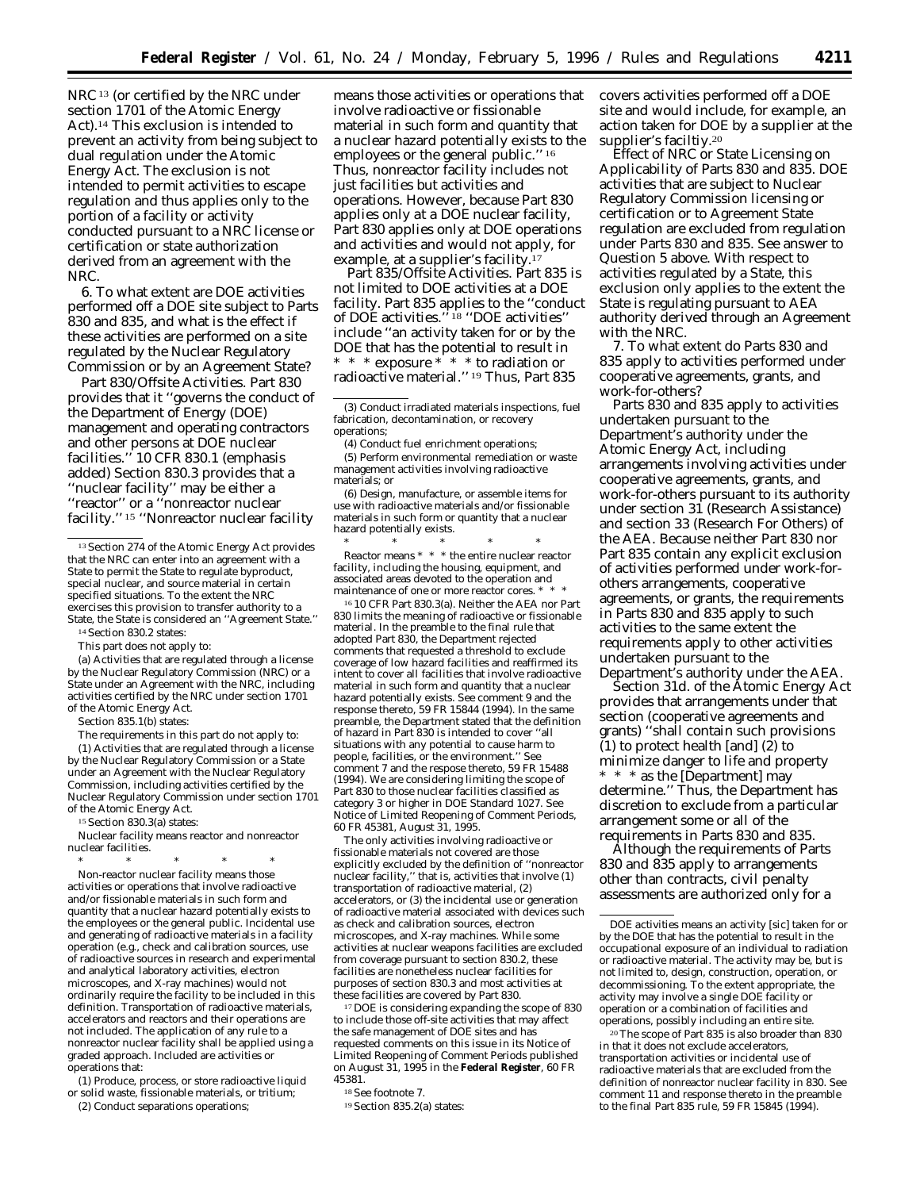NRC<sup>13</sup> (or certified by the NRC under section 1701 of the Atomic Energy Act).14 This exclusion is intended to prevent an activity from being subject to dual regulation under the Atomic Energy Act. The exclusion is not intended to permit activities to escape regulation and thus applies only to the portion of a facility or activity conducted pursuant to a NRC license or certification or state authorization derived from an agreement with the NRC.

6. To what extent are DOE activities performed off a DOE site subject to Parts 830 and 835, and what is the effect if these activities are performed on a site regulated by the Nuclear Regulatory Commission or by an Agreement State?

Part 830/Offsite Activities. Part 830 provides that it ''governs the conduct of the Department of Energy (DOE) management and operating contractors and other persons at DOE nuclear facilities.'' 10 CFR 830.1 (emphasis added) Section 830.3 provides that a ''nuclear facility'' may be either a ''reactor'' or a ''nonreactor nuclear facility.'' 15 ''Nonreactor nuclear facility

14Section 830.2 states:

This part does not apply to:

(a) Activities that are regulated through a license by the Nuclear Regulatory Commission (NRC) or a State under an Agreement with the NRC, including activities certified by the NRC under section 1701 of the Atomic Energy Act.

Section 835.1(b) states:

The requirements in this part do not apply to:

(1) Activities that are regulated through a license by the Nuclear Regulatory Commission or a State under an Agreement with the Nuclear Regulatory Commission, including activities certified by the Nuclear Regulatory Commission under section 1701 of the Atomic Energy Act.

15Section 830.3(a) states:

*Nuclear facility* means reactor and nonreactor nuclear facilities.

\* \* \* \* \* *Non-reactor nuclear facility* means those activities or operations that involve radioactive and/or fissionable materials in such form and quantity that a nuclear hazard potentially exists to the employees or the general public. Incidental use and generating of radioactive materials in a facility operation (e.g., check and calibration sources, use of radioactive sources in research and experimental and analytical laboratory activities, electron microscopes, and X-ray machines) would not ordinarily require the facility to be included in this definition. Transportation of radioactive materials, accelerators and reactors and their operations are not included. The application of any rule to a nonreactor nuclear facility shall be applied using a graded approach. Included are activities or operations that:

(1) Produce, process, or store radioactive liquid or solid waste, fissionable materials, or tritium; (2) Conduct separations operations;

means those activities or operations that involve radioactive or fissionable material in such form and quantity that a nuclear hazard potentially exists to the employees or the general public.'' 16 Thus, nonreactor facility includes not just facilities but activities and operations. However, because Part 830 applies only *at a DOE* nuclear facility, Part 830 applies only at DOE operations and activities and would not apply, for example, at a supplier's facility.<sup>17</sup>

Part 835/Offsite Activities. Part 835 is not limited to DOE activities at a DOE facility. Part 835 applies to the ''conduct of DOE activities.'' 18 ''DOE activities'' include ''an activity taken for or by the DOE that has the potential to result in \* \* \* exposure \* \* \* to radiation or radioactive material.'' 19 Thus, Part 835

(4) Conduct fuel enrichment operations;

(5) Perform environmental remediation or waste management activities involving radioactive materials; or

(6) Design, manufacture, or assemble items for use with radioactive materials and/or fissionable materials in such form or quantity that a nuclear hazard potentially exists.

\* \* \* \* \* *Reactor* means \* \* \* the entire nuclear reactor facility, including the housing, equipment, and associated areas devoted to the operation and maintenance of one or more reactor cores. \*

16 10 CFR Part 830.3(a). Neither the AEA nor Part 830 limits the meaning of radioactive or fissionable material. In the preamble to the final rule that adopted Part 830, the Department rejected comments that requested a threshold to exclude coverage of low hazard facilities and reaffirmed its intent to cover all facilities that involve radioactive material in such form and quantity that a nuclear hazard potentially exists. See comment 9 and the response thereto, 59 FR 15844 (1994). In the same preamble, the Department stated that the definition of hazard in Part 830 is intended to cover ''all situations with any potential to cause harm to people, facilities, or the environment.'' See comment 7 and the respose thereto, 59 FR 15488 (1994). We are considering limiting the scope of Part 830 to those nuclear facilities classified as category 3 or higher in DOE Standard 1027. See Notice of Limited Reopening of Comment Periods, 60 FR 45381, August 31, 1995.

The only activities involving radioactive or fissionable materials not covered are those explicitly excluded by the definition of ''nonreactor nuclear facility,'' that is, activities that involve (1) transportation of radioactive material, (2) accelerators, or (3) the incidental use or generation of radioactive material associated with devices such as check and calibration sources, electron microscopes, and X-ray machines. While some activities at nuclear weapons facilities are excluded from coverage pursuant to section 830.2, these facilities are nonetheless nuclear facilities for purposes of section 830.3 and most activities at these facilities are covered by Part 830.

17 DOE is considering expanding the scope of 830 to include those off-site activities that may affect the safe management of DOE sites and has requested comments on this issue in its Notice of Limited Reopening of Comment Periods published on August 31, 1995 in the **Federal Register**, 60 FR 45381.

18See footnote 7.

covers activities performed off a DOE site and would include, for example, an action taken for DOE by a supplier at the supplier's faciltiy.20

Effect of NRC or State Licensing on Applicability of Parts 830 and 835. DOE activities that are subject to Nuclear Regulatory Commission licensing or certification or to Agreement State regulation are excluded from regulation under Parts 830 and 835. See answer to Question 5 above. With respect to activities regulated by a State, this exclusion only applies to the extent the State is regulating pursuant to AEA authority derived through an Agreement with the NRC.

7. To what extent do Parts 830 and 835 apply to activities performed under cooperative agreements, grants, and work-for-others?

Parts 830 and 835 apply to activities undertaken pursuant to the Department's authority under the Atomic Energy Act, including arrangements involving activities under cooperative agreements, grants, and work-for-others pursuant to its authority under section 31 (Research Assistance) and section 33 (Research For Others) of the AEA. Because neither Part 830 nor Part 835 contain any explicit exclusion of activities performed under work-forothers arrangements, cooperative agreements, or grants, the requirements in Parts 830 and 835 apply to such activities to the same extent the requirements apply to other activities undertaken pursuant to the Department's authority under the AEA.

Section 31d. of the Atomic Energy Act provides that arrangements under that section (cooperative agreements and grants) ''shall contain such provisions (1) to protect health [and] (2) to minimize danger to life and property \* \* \* as the [Department] may determine.'' Thus, the Department has discretion to exclude from a particular arrangement some or all of the requirements in Parts 830 and 835.

Although the requirements of Parts 830 and 835 apply to arrangements other than contracts, civil penalty assessments are authorized only for a

20The scope of Part 835 is also broader than 830 in that it does not exclude accelerators, transportation activities or incidental use of radioactive materials that are excluded from the definition of nonreactor nuclear facility in 830. See comment 11 and response thereto in the preamble to the final Part 835 rule, 59 FR 15845 (1994).

<sup>&</sup>lt;sup>13</sup> Section 274 of the Atomic Energy Act provides that the NRC can enter into an agreement with a State to permit the State to regulate byproduct, special nuclear, and source material in certain specified situations. To the extent the NRC exercises this provision to transfer authority to a State, the State is considered an ''Agreement State.''

<sup>(3)</sup> Conduct irradiated materials inspections, fuel fabrication, decontamination, or recovery operations;

<sup>19</sup>Section 835.2(a) states:

*DOE activities* means an activity [sic] taken for or by the DOE that has the potential to result in the occupational exposure of an individual to radiation or radioactive material. The activity may be, but is not limited to, design, construction, operation, or decommissioning. To the extent appropriate, the activity may involve a single DOE facility or operation or a combination of facilities and operations, possibly including an entire site.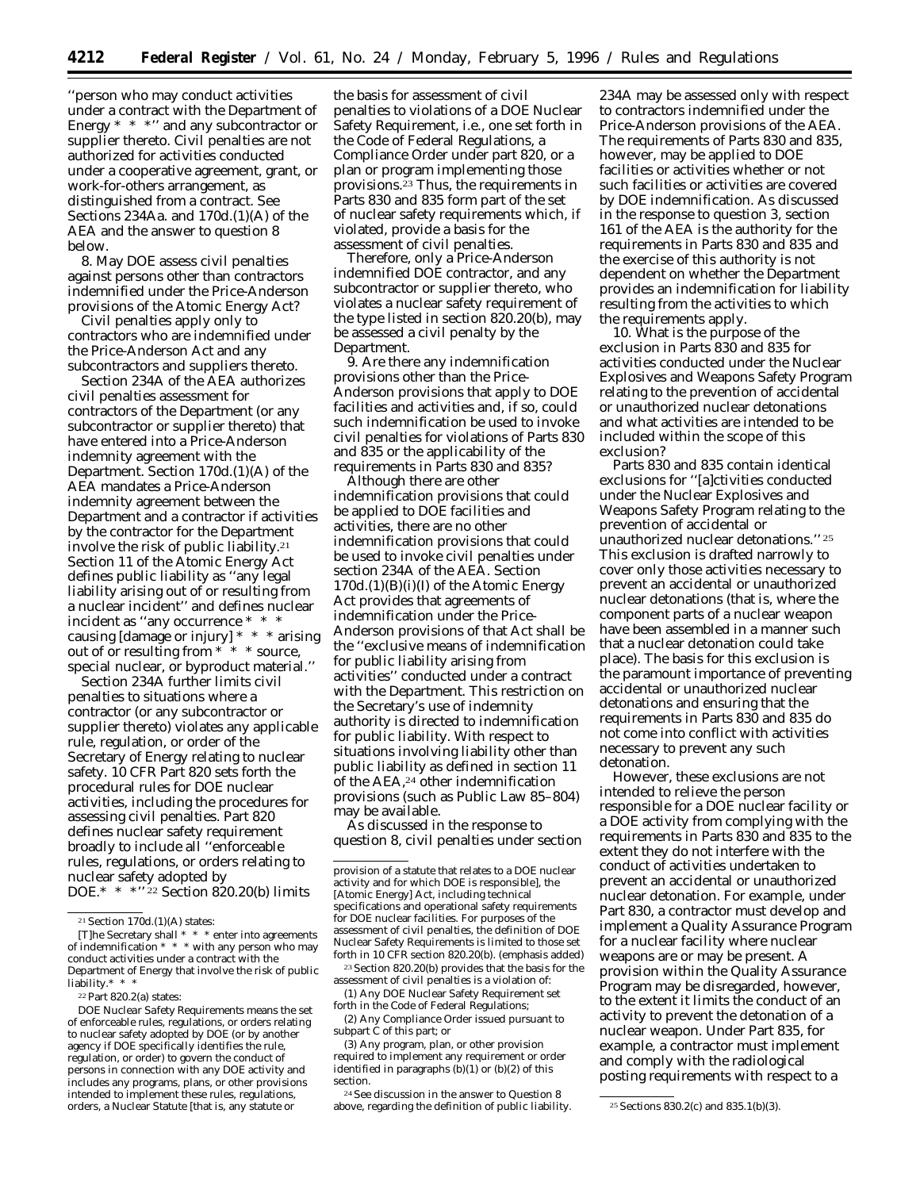''person who may conduct activities under a contract with the Department of Energy  $* * *$ " and any subcontractor or supplier thereto. Civil penalties are not authorized for activities conducted under a cooperative agreement, grant, or work-for-others arrangement, as distinguished from a contract. See Sections 234Aa. and 170d.(1)(A) of the AEA and the answer to question 8 below.

8. May DOE assess civil penalties against persons other than contractors indemnified under the Price-Anderson provisions of the Atomic Energy Act?

Civil penalties apply only to contractors who are indemnified under the Price-Anderson Act and any subcontractors and suppliers thereto.

Section 234A of the AEA authorizes civil penalties assessment for contractors of the Department (or any subcontractor or supplier thereto) that have entered into a Price-Anderson indemnity agreement with the Department. Section 170d.(1)(A) of the AEA mandates a Price-Anderson indemnity agreement between the Department and a contractor if activities by the contractor for the Department involve the risk of public liability.21 Section 11 of the Atomic Energy Act defines public liability as ''any legal liability arising out of or resulting from a nuclear incident'' and defines nuclear incident as ''any occurrence \* \* \* causing [damage or injury] \* \* \* arising out of or resulting from \* \* \* source, special nuclear, or byproduct material.''

Section 234A further limits civil penalties to situations where a contractor (or any subcontractor or supplier thereto) violates any applicable rule, regulation, or order of the Secretary of Energy relating to nuclear safety. 10 CFR Part 820 sets forth the procedural rules for DOE nuclear activities, including the procedures for assessing civil penalties. Part 820 defines nuclear safety requirement broadly to include all ''enforceable rules, regulations, or orders relating to nuclear safety adopted by DOE.\* \* \*'' 22 Section 820.20(b) limits

the basis for assessment of civil penalties to violations of a DOE Nuclear Safety Requirement, *i.e.,* one set forth in the Code of Federal Regulations, a Compliance Order under part 820, or a plan or program implementing those provisions.23 Thus, the requirements in Parts 830 and 835 form part of the set of nuclear safety requirements which, if violated, provide a basis for the assessment of civil penalties.

Therefore, only a Price-Anderson indemnified DOE contractor, and any subcontractor or supplier thereto, who violates a nuclear safety requirement of the type listed in section 820.20(b), may be assessed a civil penalty by the Department.

9. Are there any indemnification provisions other than the Price-Anderson provisions that apply to DOE facilities and activities and, if so, could such indemnification be used to invoke civil penalties for violations of Parts 830 and 835 or the applicability of the requirements in Parts 830 and 835?

Although there are other indemnification provisions that could be applied to DOE facilities and activities, there are no other indemnification provisions that could be used to invoke civil penalties under section 234A of the AEA. Section 170d.(1)(B)(i)(I) of the Atomic Energy Act provides that agreements of indemnification under the Price-Anderson provisions of that Act shall be the ''exclusive means of indemnification for public liability arising from activities'' conducted under a contract with the Department. This restriction on the Secretary's use of indemnity authority is directed to indemnification for public liability. With respect to situations involving liability other than public liability as defined in section 11 of the AEA,24 other indemnification provisions (such as Public Law 85–804) may be available.

As discussed in the response to question 8, civil penalties under section

23Section 820.20(b) provides that the basis for the assessment of civil penalties is a violation of: (1) Any DOE Nuclear Safety Requirement set

forth in the Code of Federal Regulations;

(2) Any Compliance Order issued pursuant to subpart  $\dot{C}$  of this part; or

(3) Any program, plan, or other provision required to implement any requirement or order identified in paragraphs (b)(1) or (b)(2) of this section.

24See discussion in the answer to Question 8 above, regarding the definition of public liability.  $25$  Sections 830.2(c) and 835.1(b)(3).

234A may be assessed only with respect to contractors indemnified under the Price-Anderson provisions of the AEA. The requirements of Parts 830 and 835, however, may be applied to DOE facilities or activities whether or not such facilities or activities are covered by DOE indemnification. As discussed in the response to question 3, section 161 of the AEA is the authority for the requirements in Parts 830 and 835 and the exercise of this authority is not dependent on whether the Department provides an indemnification for liability resulting from the activities to which the requirements apply.

10. What is the purpose of the exclusion in Parts 830 and 835 for activities conducted under the Nuclear Explosives and Weapons Safety Program relating to the prevention of accidental or unauthorized nuclear detonations and what activities are intended to be included within the scope of this exclusion?

Parts 830 and 835 contain identical exclusions for ''[a]ctivities conducted under the Nuclear Explosives and Weapons Safety Program relating to the prevention of accidental or unauthorized nuclear detonations.'' 25 This exclusion is drafted narrowly to cover only those activities necessary to prevent an accidental or unauthorized nuclear detonations (that is, where the component parts of a nuclear weapon have been assembled in a manner such that a nuclear detonation could take place). The basis for this exclusion is the paramount importance of preventing accidental or unauthorized nuclear detonations and ensuring that the requirements in Parts 830 and 835 do not come into conflict with activities necessary to prevent any such detonation.

However, these exclusions are not intended to relieve the person responsible for a DOE nuclear facility or a DOE activity from complying with the requirements in Parts 830 and 835 to the extent they do not interfere with the conduct of activities undertaken to prevent an accidental or unauthorized nuclear detonation. For example, under Part 830, a contractor must develop and implement a Quality Assurance Program for a nuclear facility where nuclear weapons are or may be present. A provision within the Quality Assurance Program may be disregarded, however, to the extent it limits the conduct of an activity to prevent the detonation of a nuclear weapon. Under Part 835, for example, a contractor must implement and comply with the radiological posting requirements with respect to a

<sup>21</sup>Section 170d.(1)(A) states:

<sup>[</sup>T]he Secretary shall \* \* \* enter into agreements of indemnification \* \* \* with any person who may conduct activities under a contract with the Department of Energy that involve the risk of public liability.\* \* \*

<sup>22</sup>Part 820.2(a) states:

*DOE Nuclear Safety Requirements* means the set of enforceable rules, regulations, or orders relating to nuclear safety adopted by DOE (or by another agency if DOE specifically identifies the rule, regulation, or order) to govern the conduct of persons in connection with any DOE activity and includes any programs, plans, or other provisions intended to implement these rules, regulations, orders, a Nuclear Statute [that is, any statute or

provision of a statute that relates to a DOE nuclear activity and for which DOE is responsible], the [Atomic Energy] Act, including technical specifications and operational safety requirements for DOE nuclear facilities. For purposes of the assessment of civil penalties, the definition of DOE Nuclear Safety Requirements is limited to those set forth in 10 CFR section 820.20(b). (emphasis added)